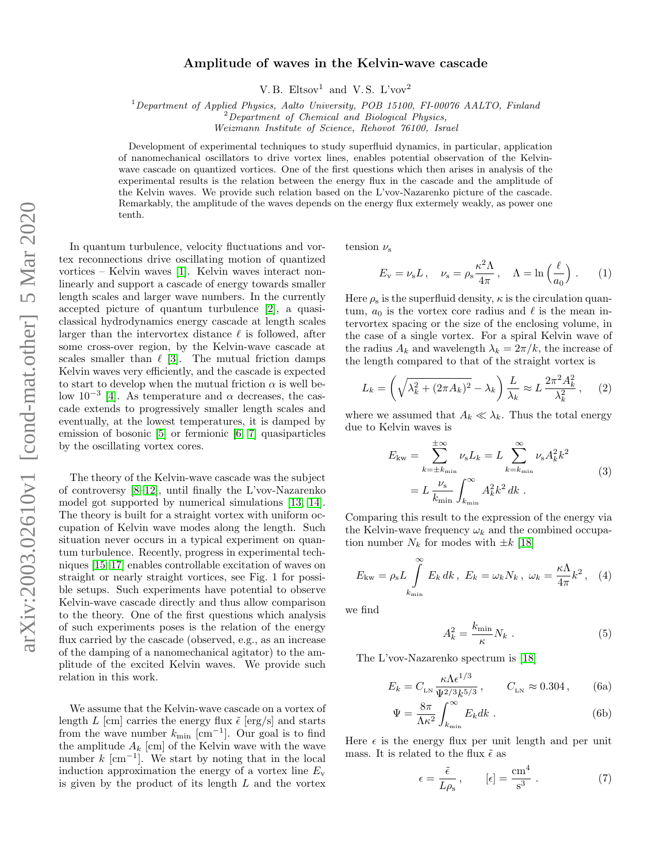## Amplitude of waves in the Kelvin-wave cascade

V. B. Eltsov<sup>1</sup> and V. S. L'vov<sup>2</sup>

<sup>1</sup>Department of Applied Physics, Aalto University, POB 15100, FI-00076 AALTO, Finland

 $2$ Department of Chemical and Biological Physics,

Weizmann Institute of Science, Rehovot 76100, Israel

Development of experimental techniques to study superfluid dynamics, in particular, application of nanomechanical oscillators to drive vortex lines, enables potential observation of the Kelvinwave cascade on quantized vortices. One of the first questions which then arises in analysis of the experimental results is the relation between the energy flux in the cascade and the amplitude of the Kelvin waves. We provide such relation based on the L'vov-Nazarenko picture of the cascade. Remarkably, the amplitude of the waves depends on the energy flux extermely weakly, as power one tenth.

In quantum turbulence, velocity fluctuations and vortex reconnections drive oscillating motion of quantized vortices – Kelvin waves [\[1\]](#page-2-0). Kelvin waves interact nonlinearly and support a cascade of energy towards smaller length scales and larger wave numbers. In the currently accepted picture of quantum turbulence [\[2\]](#page-2-1), a quasiclassical hydrodynamics energy cascade at length scales larger than the intervortex distance  $\ell$  is followed, after some cross-over region, by the Kelvin-wave cascade at scales smaller than  $\ell$  [\[3\]](#page-2-2). The mutual friction damps Kelvin waves very efficiently, and the cascade is expected to start to develop when the mutual friction  $\alpha$  is well below  $10^{-3}$  [\[4\]](#page-2-3). As temperature and  $\alpha$  decreases, the cascade extends to progressively smaller length scales and eventually, at the lowest temperatures, it is damped by emission of bosonic [\[5\]](#page-2-4) or fermionic [\[6,](#page-2-5) [7\]](#page-2-6) quasiparticles by the oscillating vortex cores.

The theory of the Kelvin-wave cascade was the subject of controversy [\[8–](#page-2-7)[12\]](#page-2-8), until finally the L'vov-Nazarenko model got supported by numerical simulations [\[13,](#page-2-9) [14\]](#page-2-10). The theory is built for a straight vortex with uniform occupation of Kelvin wave modes along the length. Such situation never occurs in a typical experiment on quantum turbulence. Recently, progress in experimental techniques [\[15–](#page-2-11)[17\]](#page-2-12) enables controllable excitation of waves on straight or nearly straight vortices, see Fig. 1 for possible setups. Such experiments have potential to observe Kelvin-wave cascade directly and thus allow comparison to the theory. One of the first questions which analysis of such experiments poses is the relation of the energy flux carried by the cascade (observed, e.g., as an increase of the damping of a nanomechanical agitator) to the amplitude of the excited Kelvin waves. We provide such relation in this work.

We assume that the Kelvin-wave cascade on a vortex of length L [cm] carries the energy flux  $\tilde{\epsilon}$  [erg/s] and starts from the wave number  $k_{\text{min}}$  [cm<sup>-1</sup>]. Our goal is to find the amplitude  $A_k$  [cm] of the Kelvin wave with the wave number  $k \, [\text{cm}^{-1}]$ . We start by noting that in the local induction approximation the energy of a vortex line  $E_{\rm v}$ is given by the product of its length L and the vortex

tension  $\nu_{\rm s}$ 

$$
E_{\rm v} = \nu_{\rm s} L \,, \quad \nu_{\rm s} = \rho_{\rm s} \frac{\kappa^2 \Lambda}{4\pi} \,, \quad \Lambda = \ln\left(\frac{\ell}{a_0}\right) \,. \tag{1}
$$

Here  $\rho_s$  is the superfluid density,  $\kappa$  is the circulation quantum,  $a_0$  is the vortex core radius and  $\ell$  is the mean intervortex spacing or the size of the enclosing volume, in the case of a single vortex. For a spiral Kelvin wave of the radius  $A_k$  and wavelength  $\lambda_k = 2\pi/k$ , the increase of the length compared to that of the straight vortex is

$$
L_k = \left(\sqrt{\lambda_k^2 + (2\pi A_k)^2} - \lambda_k\right) \frac{L}{\lambda_k} \approx L \frac{2\pi^2 A_k^2}{\lambda_k^2},\qquad(2)
$$

where we assumed that  $A_k \ll \lambda_k$ . Thus the total energy due to Kelvin waves is

$$
E_{\text{kw}} = \sum_{k=\pm k_{\text{min}}}^{\pm \infty} \nu_{\text{s}} L_k = L \sum_{k=k_{\text{min}}}^{\infty} \nu_{\text{s}} A_k^2 k^2
$$
  
=  $L \frac{\nu_{\text{s}}}{k_{\text{min}}} \int_{k_{\text{min}}}^{\infty} A_k^2 k^2 dk$ . (3)

Comparing this result to the expression of the energy via the Kelvin-wave frequency  $\omega_k$  and the combined occupation number  $N_k$  for modes with  $\pm k$  [\[18\]](#page-2-13)

<span id="page-0-2"></span>
$$
E_{\rm kw} = \rho_{\rm s} L \int_{k_{\rm min}}^{\infty} E_k \, dk \, , \, E_k = \omega_k N_k \, , \, \, \omega_k = \frac{\kappa \Lambda}{4\pi} k^2 \, , \, \, (4)
$$

we find

 $\Psi$ 

<span id="page-0-3"></span><span id="page-0-1"></span><span id="page-0-0"></span>
$$
A_k^2 = \frac{k_{\text{min}}}{\kappa} N_k \tag{5}
$$

The L'vov-Nazarenko spectrum is [\[18\]](#page-2-13)

$$
E_k = C_{LN} \frac{\kappa \Lambda \epsilon^{1/3}}{\Psi^{2/3} k^{5/3}}, \qquad C_{LN} \approx 0.304 \,, \tag{6a}
$$

$$
= \frac{8\pi}{\Lambda\kappa^2} \int_{k_{\rm min}}^{\infty} E_k dk . \tag{6b}
$$

Here  $\epsilon$  is the energy flux per unit length and per unit mass. It is related to the flux  $\tilde{\epsilon}$  as

$$
\epsilon = \frac{\tilde{\epsilon}}{L\rho_s}, \qquad [\epsilon] = \frac{\text{cm}^4}{\text{s}^3} \ . \tag{7}
$$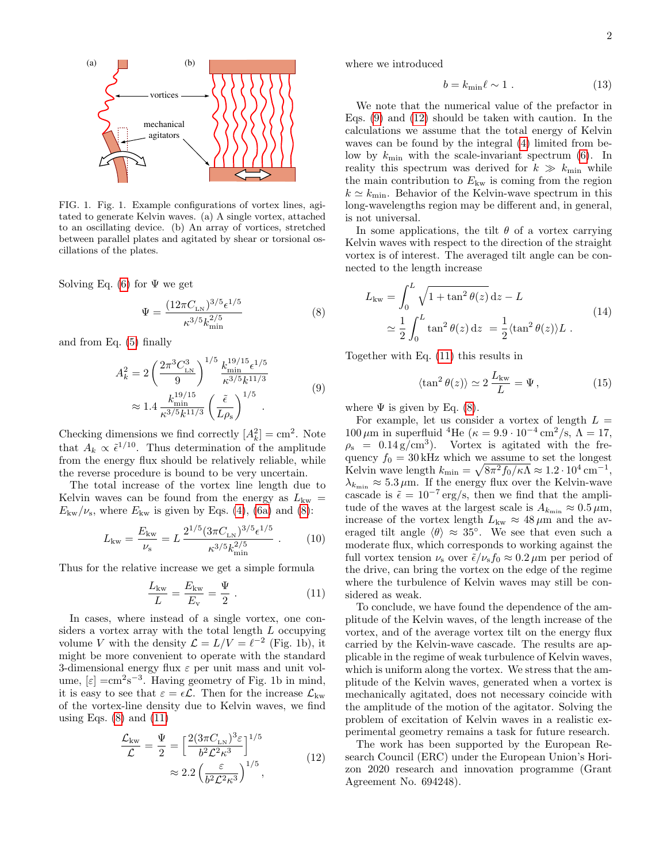

FIG. 1. Fig. 1. Example configurations of vortex lines, agitated to generate Kelvin waves. (a) A single vortex, attached to an oscillating device. (b) An array of vortices, stretched between parallel plates and agitated by shear or torsional oscillations of the plates.

Solving Eq. [\(6\)](#page-0-0) for  $\Psi$  we get

<span id="page-1-0"></span>
$$
\Psi = \frac{(12\pi C_{LN})^{3/5} \epsilon^{1/5}}{\kappa^{3/5} k_{\min}^{2/5}}\tag{8}
$$

and from Eq. [\(5\)](#page-0-1) finally

$$
A_k^2 = 2 \left(\frac{2\pi^3 C_{LN}^3}{9}\right)^{1/5} \frac{k_{min}^{19/15} \epsilon^{1/5}}{\kappa^{3/5} k^{11/3}} \approx 1.4 \frac{k_{min}^{19/15}}{\kappa^{3/5} k^{11/3}} \left(\frac{\tilde{\epsilon}}{L\rho_s}\right)^{1/5} .
$$
 (9)

Checking dimensions we find correctly  $[A_k^2] = \text{cm}^2$ . Note that  $A_k \propto \tilde{\epsilon}^{1/10}$ . Thus determination of the amplitude from the energy flux should be relatively reliable, while the reverse procedure is bound to be very uncertain.

The total increase of the vortex line length due to Kelvin waves can be found from the energy as  $L_{kw}$  =  $E_{\rm kw}/\nu_{\rm s}$ , where  $E_{\rm kw}$  is given by Eqs. [\(4\)](#page-0-2), [\(6a\)](#page-0-3) and [\(8\)](#page-1-0):

$$
L_{\rm kw} = \frac{E_{\rm kw}}{\nu_{\rm s}} = L \, \frac{2^{1/5} (3\pi C_{\rm LN})^{3/5} \epsilon^{1/5}}{\kappa^{3/5} k_{\rm min}^{2/5}} \,. \tag{10}
$$

Thus for the relative increase we get a simple formula

<span id="page-1-1"></span>
$$
\frac{L_{\rm kw}}{L} = \frac{E_{\rm kw}}{E_{\rm v}} = \frac{\Psi}{2} \ . \tag{11}
$$

In cases, where instead of a single vortex, one considers a vortex array with the total length L occupying volume V with the density  $\mathcal{L} = L/V = \ell^{-2}$  (Fig. 1b), it might be more convenient to operate with the standard 3-dimensional energy flux  $\varepsilon$  per unit mass and unit volume,  $[\varepsilon] = \text{cm}^2 \text{s}^{-3}$ . Having geometry of Fig. 1b in mind, it is easy to see that  $\varepsilon = \epsilon \mathcal{L}$ . Then for the increase  $\mathcal{L}_{kw}$ of the vortex-line density due to Kelvin waves, we find using Eqs.  $(8)$  and  $(11)$ 

$$
\frac{\mathcal{L}_{\text{kw}}}{\mathcal{L}} = \frac{\Psi}{2} = \left[\frac{2(3\pi C_{\text{LN}})^3 \varepsilon}{b^2 \mathcal{L}^2 \kappa^3}\right]^{1/5}
$$
\n
$$
\approx 2.2 \left(\frac{\varepsilon}{b^2 \mathcal{L}^2 \kappa^3}\right)^{1/5},\tag{12}
$$

where we introduced

$$
b = k_{\min}\ell \sim 1 \tag{13}
$$

We note that the numerical value of the prefactor in Eqs. [\(9\)](#page-1-2) and [\(12\)](#page-1-3) should be taken with caution. In the calculations we assume that the total energy of Kelvin waves can be found by the integral [\(4\)](#page-0-2) limited from below by  $k_{\text{min}}$  with the scale-invariant spectrum [\(6\)](#page-0-0). In reality this spectrum was derived for  $k \gg k_{\text{min}}$  while the main contribution to  $E_{kw}$  is coming from the region  $k \simeq k_{\text{min}}$ . Behavior of the Kelvin-wave spectrum in this long-wavelengths region may be different and, in general, is not universal.

In some applications, the tilt  $\theta$  of a vortex carrying Kelvin waves with respect to the direction of the straight vortex is of interest. The averaged tilt angle can be connected to the length increase

$$
L_{\text{kw}} = \int_0^L \sqrt{1 + \tan^2 \theta(z)} dz - L
$$
  
\n
$$
\approx \frac{1}{2} \int_0^L \tan^2 \theta(z) dz = \frac{1}{2} \langle \tan^2 \theta(z) \rangle L .
$$
\n(14)

<span id="page-1-2"></span>Together with Eq. [\(11\)](#page-1-1) this results in

$$
\langle \tan^2 \theta(z) \rangle \simeq 2 \frac{L_{\rm kw}}{L} = \Psi,
$$
 (15)

where  $\Psi$  is given by Eq. [\(8\)](#page-1-0).

For example, let us consider a vortex of length  $L =$  $100 \,\mu\text{m}$  in superfluid <sup>4</sup>He ( $\kappa = 9.9 \cdot 10^{-4} \text{ cm}^2/\text{s}$ ,  $\Lambda = 17$ ,  $\rho_s = 0.14 \text{ g/cm}^3$ . Vortex is agitated with the frequency  $f_0 = 30$  kHz which we assume to set the longest Kelvin wave length  $k_{\min} = \sqrt{8\pi^2 f_0/\kappa\Lambda} \approx 1.2 \cdot 10^4 \,\mathrm{cm}^{-1}$ ,  $\lambda_{k_{\text{min}}} \approx 5.3 \,\mu\text{m}$ . If the energy flux over the Kelvin-wave cascade is  $\tilde{\epsilon} = 10^{-7} \text{ erg/s}$ , then we find that the amplitude of the waves at the largest scale is  $A_{k_{\text{min}}} \approx 0.5 \,\mu\text{m}$ , increase of the vortex length  $L_{kw} \approx 48 \,\mu m$  and the averaged tilt angle  $\langle \theta \rangle \approx 35^{\circ}$ . We see that even such a moderate flux, which corresponds to working against the full vortex tension  $\nu_s$  over  $\tilde{\epsilon}/\nu_s f_0 \approx 0.2 \,\mu m$  per period of the drive, can bring the vortex on the edge of the regime where the turbulence of Kelvin waves may still be considered as weak.

To conclude, we have found the dependence of the amplitude of the Kelvin waves, of the length increase of the vortex, and of the average vortex tilt on the energy flux carried by the Kelvin-wave cascade. The results are applicable in the regime of weak turbulence of Kelvin waves, which is uniform along the vortex. We stress that the amplitude of the Kelvin waves, generated when a vortex is mechanically agitated, does not necessary coincide with the amplitude of the motion of the agitator. Solving the problem of excitation of Kelvin waves in a realistic experimental geometry remains a task for future research.

<span id="page-1-3"></span>The work has been supported by the European Research Council (ERC) under the European Union's Horizon 2020 research and innovation programme (Grant Agreement No. 694248).